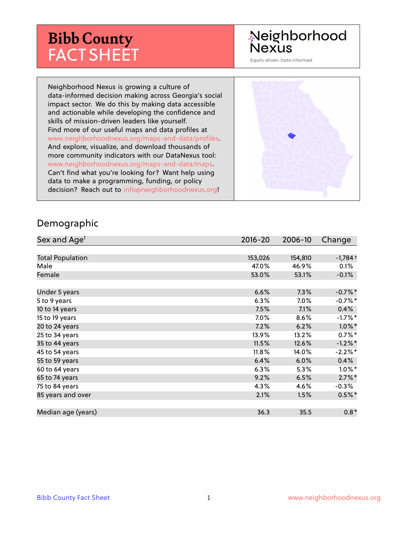# **Bibb County** FACT SHEET

# Neighborhood **Nexus**

Equity driven. Data informed.

Neighborhood Nexus is growing a culture of data-informed decision making across Georgia's social impact sector. We do this by making data accessible and actionable while developing the confidence and skills of mission-driven leaders like yourself. Find more of our useful maps and data profiles at www.neighborhoodnexus.org/maps-and-data/profiles. And explore, visualize, and download thousands of more community indicators with our DataNexus tool: www.neighborhoodnexus.org/maps-and-data/maps. Can't find what you're looking for? Want help using data to make a programming, funding, or policy decision? Reach out to [info@neighborhoodnexus.org!](mailto:info@neighborhoodnexus.org)



#### Demographic

| Sex and Age <sup>1</sup> | $2016 - 20$ | 2006-10 | Change    |
|--------------------------|-------------|---------|-----------|
|                          |             |         |           |
| <b>Total Population</b>  | 153,026     | 154,810 | $-1,784+$ |
| Male                     | 47.0%       | 46.9%   | 0.1%      |
| Female                   | 53.0%       | 53.1%   | $-0.1\%$  |
|                          |             |         |           |
| Under 5 years            | 6.6%        | 7.3%    | $-0.7%$ * |
| 5 to 9 years             | 6.3%        | 7.0%    | $-0.7%$ * |
| 10 to 14 years           | 7.5%        | 7.1%    | $0.4\%$   |
| 15 to 19 years           | 7.0%        | 8.6%    | $-1.7%$ * |
| 20 to 24 years           | 7.2%        | 6.2%    | $1.0\%$ * |
| 25 to 34 years           | 13.9%       | 13.2%   | $0.7%$ *  |
| 35 to 44 years           | 11.5%       | 12.6%   | $-1.2%$ * |
| 45 to 54 years           | 11.8%       | 14.0%   | $-2.2%$ * |
| 55 to 59 years           | 6.4%        | 6.0%    | 0.4%      |
| 60 to 64 years           | 6.3%        | 5.3%    | $1.0\%$ * |
| 65 to 74 years           | 9.2%        | 6.5%    | $2.7\%$ * |
| 75 to 84 years           | 4.3%        | 4.6%    | $-0.3\%$  |
| 85 years and over        | 2.1%        | 1.5%    | $0.5%$ *  |
|                          |             |         |           |
| Median age (years)       | 36.3        | 35.5    | $0.8*$    |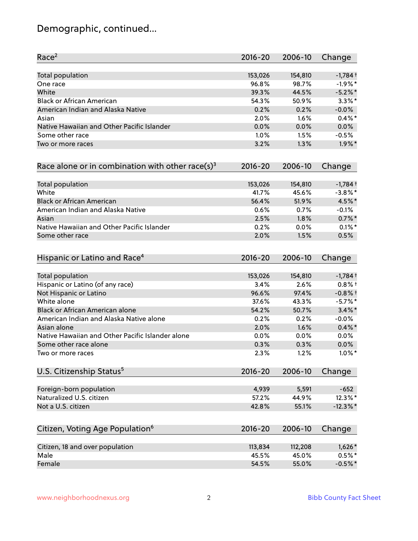# Demographic, continued...

| Race <sup>2</sup>                                   | $2016 - 20$ | 2006-10 | Change                |
|-----------------------------------------------------|-------------|---------|-----------------------|
| <b>Total population</b>                             | 153,026     | 154,810 | $-1,784$ <sup>+</sup> |
| One race                                            | 96.8%       | 98.7%   | $-1.9%$ *             |
| White                                               | 39.3%       | 44.5%   | $-5.2\%$ *            |
| <b>Black or African American</b>                    | 54.3%       | 50.9%   | $3.3\%$ *             |
| American Indian and Alaska Native                   | 0.2%        | 0.2%    | $-0.0%$               |
| Asian                                               | 2.0%        | $1.6\%$ | $0.4\%$ *             |
| Native Hawaiian and Other Pacific Islander          | 0.0%        | 0.0%    | 0.0%                  |
| Some other race                                     | 1.0%        | 1.5%    | $-0.5%$               |
| Two or more races                                   | 3.2%        | 1.3%    | $1.9\%$ *             |
| Race alone or in combination with other race(s) $3$ | $2016 - 20$ | 2006-10 | Change                |
| Total population                                    | 153,026     | 154,810 | $-1,784$ <sup>+</sup> |
| White                                               | 41.7%       | 45.6%   | $-3.8\%$ *            |
| <b>Black or African American</b>                    | 56.4%       | 51.9%   | 4.5%*                 |
| American Indian and Alaska Native                   | 0.6%        | 0.7%    | $-0.1%$               |
| Asian                                               | 2.5%        | 1.8%    | $0.7\%$ *             |
| Native Hawaiian and Other Pacific Islander          | 0.2%        | 0.0%    | $0.1\%$ *             |
| Some other race                                     | 2.0%        | 1.5%    | 0.5%                  |
| Hispanic or Latino and Race <sup>4</sup>            | $2016 - 20$ | 2006-10 | Change                |
| Total population                                    | 153,026     | 154,810 | $-1,784$ <sup>+</sup> |
| Hispanic or Latino (of any race)                    | 3.4%        | 2.6%    | $0.8%$ +              |
| Not Hispanic or Latino                              | 96.6%       | 97.4%   | $-0.8%$ †             |
| White alone                                         | 37.6%       | 43.3%   | $-5.7\%$ *            |
| Black or African American alone                     | 54.2%       | 50.7%   | $3.4\%$ *             |
| American Indian and Alaska Native alone             | 0.2%        | 0.2%    | $-0.0%$               |
| Asian alone                                         | 2.0%        | 1.6%    | $0.4\%$ *             |
| Native Hawaiian and Other Pacific Islander alone    | 0.0%        | 0.0%    | $0.0\%$               |
| Some other race alone                               | 0.3%        | 0.3%    | $0.0\%$               |
| Two or more races                                   | 2.3%        | 1.2%    | $1.0\%$ *             |
| U.S. Citizenship Status <sup>5</sup>                | $2016 - 20$ | 2006-10 | Change                |
| Foreign-born population                             | 4,939       | 5,591   | $-652$                |
| Naturalized U.S. citizen                            | 57.2%       | 44.9%   | 12.3%*                |
| Not a U.S. citizen                                  | 42.8%       | 55.1%   | $-12.3\%$ *           |
|                                                     |             | 2006-10 |                       |
| Citizen, Voting Age Population <sup>6</sup>         | $2016 - 20$ |         | Change                |
| Citizen, 18 and over population                     | 113,834     | 112,208 | $1,626*$              |
| Male                                                | 45.5%       | 45.0%   | $0.5%$ *              |
| Female                                              | 54.5%       | 55.0%   | $-0.5%$ *             |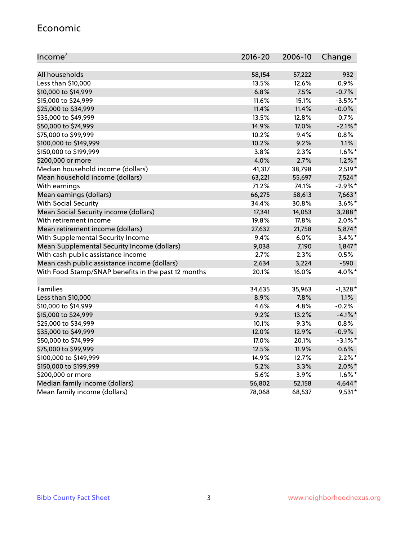### Economic

| Income <sup>7</sup>                                 | 2016-20 | 2006-10 | Change     |
|-----------------------------------------------------|---------|---------|------------|
|                                                     |         |         |            |
| All households                                      | 58,154  | 57,222  | 932        |
| Less than \$10,000                                  | 13.5%   | 12.6%   | 0.9%       |
| \$10,000 to \$14,999                                | 6.8%    | 7.5%    | $-0.7%$    |
| \$15,000 to \$24,999                                | 11.6%   | 15.1%   | $-3.5%$ *  |
| \$25,000 to \$34,999                                | 11.4%   | 11.4%   | $-0.0%$    |
| \$35,000 to \$49,999                                | 13.5%   | 12.8%   | 0.7%       |
| \$50,000 to \$74,999                                | 14.9%   | 17.0%   | $-2.1\%$ * |
| \$75,000 to \$99,999                                | 10.2%   | 9.4%    | 0.8%       |
| \$100,000 to \$149,999                              | 10.2%   | 9.2%    | 1.1%       |
| \$150,000 to \$199,999                              | $3.8\%$ | 2.3%    | $1.6\%$ *  |
| \$200,000 or more                                   | 4.0%    | 2.7%    | $1.2\%$ *  |
| Median household income (dollars)                   | 41,317  | 38,798  | 2,519*     |
| Mean household income (dollars)                     | 63,221  | 55,697  | 7,524*     |
| With earnings                                       | 71.2%   | 74.1%   | $-2.9%$ *  |
| Mean earnings (dollars)                             | 66,275  | 58,613  | 7,663*     |
| <b>With Social Security</b>                         | 34.4%   | 30.8%   | $3.6\%$ *  |
| Mean Social Security income (dollars)               | 17,341  | 14,053  | 3,288*     |
| With retirement income                              | 19.8%   | 17.8%   | $2.0\%$ *  |
| Mean retirement income (dollars)                    | 27,632  | 21,758  | 5,874*     |
| With Supplemental Security Income                   | 9.4%    | 6.0%    | $3.4\%$ *  |
| Mean Supplemental Security Income (dollars)         | 9,038   | 7,190   | $1,847*$   |
| With cash public assistance income                  | 2.7%    | 2.3%    | 0.5%       |
| Mean cash public assistance income (dollars)        | 2,634   | 3,224   | $-590$     |
| With Food Stamp/SNAP benefits in the past 12 months | 20.1%   | 16.0%   | 4.0%*      |
|                                                     |         |         |            |
| Families                                            | 34,635  | 35,963  | $-1,328*$  |
| Less than \$10,000                                  | 8.9%    | 7.8%    | 1.1%       |
| \$10,000 to \$14,999                                | 4.6%    | 4.8%    | $-0.2%$    |
| \$15,000 to \$24,999                                | 9.2%    | 13.2%   | $-4.1\%$ * |
| \$25,000 to \$34,999                                | 10.1%   | 9.3%    | 0.8%       |
| \$35,000 to \$49,999                                | 12.0%   | 12.9%   | $-0.9%$    |
| \$50,000 to \$74,999                                | 17.0%   | 20.1%   | $-3.1\%$ * |
| \$75,000 to \$99,999                                | 12.5%   | 11.9%   | 0.6%       |
| \$100,000 to \$149,999                              | 14.9%   | 12.7%   | $2.2\%$ *  |
| \$150,000 to \$199,999                              | 5.2%    | 3.3%    | $2.0\%$ *  |
| \$200,000 or more                                   | 5.6%    | 3.9%    | $1.6\%$ *  |
| Median family income (dollars)                      | 56,802  | 52,158  | $4,644*$   |
| Mean family income (dollars)                        | 78,068  | 68,537  | $9,531*$   |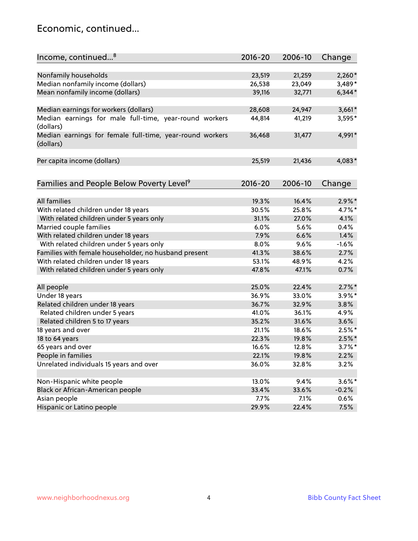# Economic, continued...

| Income, continued <sup>8</sup>                                        | $2016 - 20$ | 2006-10 | Change    |
|-----------------------------------------------------------------------|-------------|---------|-----------|
|                                                                       |             |         |           |
| Nonfamily households                                                  | 23,519      | 21,259  | $2,260*$  |
| Median nonfamily income (dollars)                                     | 26,538      | 23,049  | 3,489*    |
| Mean nonfamily income (dollars)                                       | 39,116      | 32,771  | $6,344*$  |
| Median earnings for workers (dollars)                                 | 28,608      | 24,947  | $3,661*$  |
| Median earnings for male full-time, year-round workers<br>(dollars)   | 44,814      | 41,219  | 3,595*    |
| Median earnings for female full-time, year-round workers<br>(dollars) | 36,468      | 31,477  | 4,991*    |
| Per capita income (dollars)                                           | 25,519      | 21,436  | 4,083*    |
| Families and People Below Poverty Level <sup>9</sup>                  | 2016-20     | 2006-10 | Change    |
|                                                                       |             |         |           |
| All families                                                          | 19.3%       | 16.4%   | $2.9\%$ * |
| With related children under 18 years                                  | 30.5%       | 25.8%   | 4.7%*     |
| With related children under 5 years only                              | 31.1%       | 27.0%   | 4.1%      |
| Married couple families                                               | 6.0%        | 5.6%    | 0.4%      |
| With related children under 18 years                                  | 7.9%        | 6.6%    | 1.4%      |
| With related children under 5 years only                              | 8.0%        | 9.6%    | $-1.6%$   |
| Families with female householder, no husband present                  | 41.3%       | 38.6%   | 2.7%      |
| With related children under 18 years                                  | 53.1%       | 48.9%   | 4.2%      |
| With related children under 5 years only                              | 47.8%       | 47.1%   | 0.7%      |
| All people                                                            | 25.0%       | 22.4%   | $2.7\%$ * |
| Under 18 years                                                        | 36.9%       | 33.0%   | $3.9\%$ * |
| Related children under 18 years                                       | 36.7%       | 32.9%   | 3.8%      |
| Related children under 5 years                                        | 41.0%       | 36.1%   | 4.9%      |
| Related children 5 to 17 years                                        | 35.2%       | 31.6%   | 3.6%      |
| 18 years and over                                                     | 21.1%       | 18.6%   | $2.5%$ *  |
| 18 to 64 years                                                        | 22.3%       | 19.8%   | $2.5\%$ * |
| 65 years and over                                                     | 16.6%       | 12.8%   | $3.7\%$ * |
| People in families                                                    | 22.1%       | 19.8%   | 2.2%      |
| Unrelated individuals 15 years and over                               | 36.0%       | 32.8%   | 3.2%      |
|                                                                       |             |         |           |
| Non-Hispanic white people                                             | 13.0%       | 9.4%    | $3.6\%$ * |
| Black or African-American people                                      | 33.4%       | 33.6%   | $-0.2%$   |
| Asian people                                                          | 7.7%        | 7.1%    | 0.6%      |
| Hispanic or Latino people                                             | 29.9%       | 22.4%   | 7.5%      |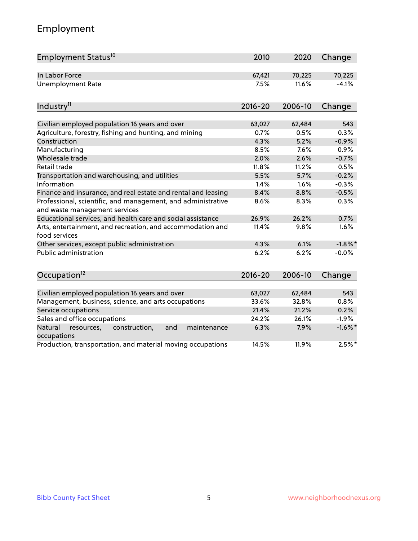# Employment

| Employment Status <sup>10</sup>                                                               | 2010        | 2020    | Change     |
|-----------------------------------------------------------------------------------------------|-------------|---------|------------|
| In Labor Force                                                                                | 67,421      | 70,225  | 70,225     |
| <b>Unemployment Rate</b>                                                                      | 7.5%        | 11.6%   | $-4.1%$    |
| Industry <sup>11</sup>                                                                        | $2016 - 20$ | 2006-10 | Change     |
| Civilian employed population 16 years and over                                                | 63,027      | 62,484  | 543        |
| Agriculture, forestry, fishing and hunting, and mining                                        | 0.7%        | 0.5%    | 0.3%       |
| Construction                                                                                  | 4.3%        | 5.2%    | $-0.9%$    |
| Manufacturing                                                                                 | 8.5%        | 7.6%    | 0.9%       |
| Wholesale trade                                                                               | 2.0%        | 2.6%    | $-0.7%$    |
| Retail trade                                                                                  | 11.8%       | 11.2%   | 0.5%       |
| Transportation and warehousing, and utilities                                                 | 5.5%        | 5.7%    | $-0.2%$    |
| Information                                                                                   | 1.4%        | 1.6%    | $-0.3%$    |
| Finance and insurance, and real estate and rental and leasing                                 | 8.4%        | 8.8%    | $-0.5%$    |
| Professional, scientific, and management, and administrative<br>and waste management services | 8.6%        | 8.3%    | 0.3%       |
| Educational services, and health care and social assistance                                   | 26.9%       | 26.2%   | 0.7%       |
| Arts, entertainment, and recreation, and accommodation and<br>food services                   | 11.4%       | 9.8%    | 1.6%       |
| Other services, except public administration                                                  | 4.3%        | 6.1%    | $-1.8\%$ * |
| Public administration                                                                         | 6.2%        | 6.2%    | $-0.0%$    |
| Occupation <sup>12</sup>                                                                      | $2016 - 20$ | 2006-10 | Change     |
|                                                                                               |             |         |            |
| Civilian employed population 16 years and over                                                | 63,027      | 62,484  | 543        |
| Management, business, science, and arts occupations                                           | 33.6%       | 32.8%   | 0.8%       |
| Service occupations                                                                           | 21.4%       | 21.2%   | 0.2%       |
| Sales and office occupations                                                                  | 24.2%       | 26.1%   | $-1.9%$    |
| Natural<br>resources,<br>construction,<br>maintenance<br>and<br>occupations                   | 6.3%        | 7.9%    | $-1.6\%$ * |
| Production, transportation, and material moving occupations                                   | 14.5%       | 11.9%   | $2.5%$ *   |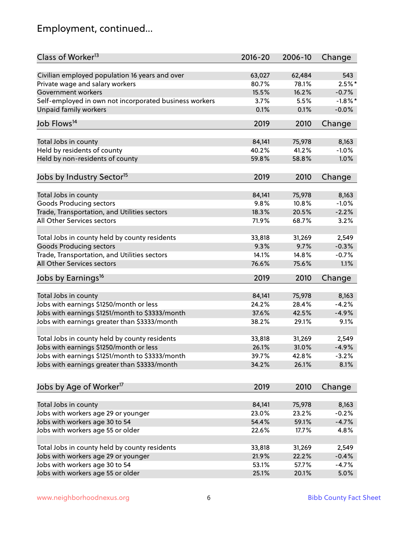# Employment, continued...

| Class of Worker <sup>13</sup>                                              | $2016 - 20$ | 2006-10 | Change     |
|----------------------------------------------------------------------------|-------------|---------|------------|
| Civilian employed population 16 years and over                             | 63,027      | 62,484  | 543        |
| Private wage and salary workers                                            | 80.7%       | 78.1%   | $2.5%$ *   |
| Government workers                                                         | 15.5%       | 16.2%   | $-0.7%$    |
| Self-employed in own not incorporated business workers                     | 3.7%        | 5.5%    | $-1.8\%$ * |
| <b>Unpaid family workers</b>                                               | 0.1%        | 0.1%    | $-0.0%$    |
| Job Flows <sup>14</sup>                                                    | 2019        |         |            |
|                                                                            |             | 2010    | Change     |
| Total Jobs in county                                                       | 84,141      | 75,978  | 8,163      |
| Held by residents of county                                                | 40.2%       | 41.2%   | $-1.0%$    |
| Held by non-residents of county                                            | 59.8%       | 58.8%   | 1.0%       |
|                                                                            |             |         |            |
| Jobs by Industry Sector <sup>15</sup>                                      | 2019        | 2010    | Change     |
| Total Jobs in county                                                       | 84,141      | 75,978  | 8,163      |
| <b>Goods Producing sectors</b>                                             | 9.8%        | 10.8%   | $-1.0%$    |
|                                                                            | 18.3%       | 20.5%   | $-2.2%$    |
| Trade, Transportation, and Utilities sectors<br>All Other Services sectors | 71.9%       | 68.7%   |            |
|                                                                            |             |         | 3.2%       |
| Total Jobs in county held by county residents                              | 33,818      | 31,269  | 2,549      |
| <b>Goods Producing sectors</b>                                             | 9.3%        | 9.7%    | $-0.3%$    |
| Trade, Transportation, and Utilities sectors                               | 14.1%       | 14.8%   | $-0.7%$    |
| All Other Services sectors                                                 | 76.6%       | 75.6%   | 1.1%       |
| Jobs by Earnings <sup>16</sup>                                             | 2019        | 2010    | Change     |
|                                                                            |             |         |            |
| Total Jobs in county                                                       | 84,141      | 75,978  | 8,163      |
| Jobs with earnings \$1250/month or less                                    | 24.2%       | 28.4%   | $-4.2%$    |
| Jobs with earnings \$1251/month to \$3333/month                            | 37.6%       | 42.5%   | $-4.9%$    |
| Jobs with earnings greater than \$3333/month                               | 38.2%       | 29.1%   | 9.1%       |
|                                                                            |             |         |            |
| Total Jobs in county held by county residents                              | 33,818      | 31,269  | 2,549      |
| Jobs with earnings \$1250/month or less                                    | 26.1%       | 31.0%   | $-4.9%$    |
| Jobs with earnings \$1251/month to \$3333/month                            | 39.7%       | 42.8%   | $-3.2%$    |
| Jobs with earnings greater than \$3333/month                               | 34.2%       | 26.1%   | 8.1%       |
|                                                                            |             |         |            |
| Jobs by Age of Worker <sup>17</sup>                                        | 2019        | 2010    | Change     |
| Total Jobs in county                                                       | 84,141      | 75,978  | 8,163      |
| Jobs with workers age 29 or younger                                        | 23.0%       | 23.2%   | $-0.2%$    |
| Jobs with workers age 30 to 54                                             | 54.4%       | 59.1%   | $-4.7%$    |
| Jobs with workers age 55 or older                                          | 22.6%       | 17.7%   | 4.8%       |
|                                                                            |             |         |            |
| Total Jobs in county held by county residents                              | 33,818      | 31,269  | 2,549      |
| Jobs with workers age 29 or younger                                        | 21.9%       | 22.2%   | $-0.4%$    |
| Jobs with workers age 30 to 54                                             | 53.1%       | 57.7%   | $-4.7%$    |
| Jobs with workers age 55 or older                                          | 25.1%       | 20.1%   | 5.0%       |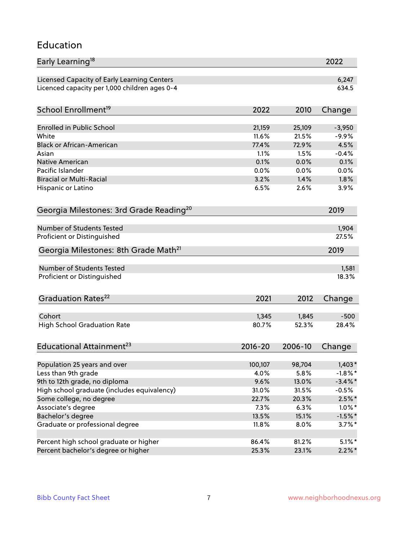### Education

| Early Learning <sup>18</sup>                        |              |              | 2022         |
|-----------------------------------------------------|--------------|--------------|--------------|
| Licensed Capacity of Early Learning Centers         |              |              | 6,247        |
| Licenced capacity per 1,000 children ages 0-4       |              |              | 634.5        |
| School Enrollment <sup>19</sup>                     | 2022         | 2010         | Change       |
|                                                     |              |              |              |
| <b>Enrolled in Public School</b>                    | 21,159       | 25,109       | $-3,950$     |
| White                                               | 11.6%        | 21.5%        | $-9.9%$      |
| <b>Black or African-American</b>                    | 77.4%        | 72.9%        | 4.5%         |
| Asian                                               | 1.1%<br>0.1% | 1.5%         | $-0.4%$      |
| Native American<br>Pacific Islander                 |              | 0.0%         | 0.1%         |
| <b>Biracial or Multi-Racial</b>                     | 0.0%<br>3.2% | 0.0%<br>1.4% | 0.0%<br>1.8% |
|                                                     |              | 2.6%         |              |
| Hispanic or Latino                                  | 6.5%         |              | 3.9%         |
| Georgia Milestones: 3rd Grade Reading <sup>20</sup> |              |              | 2019         |
| Number of Students Tested                           |              |              | 1,904        |
| Proficient or Distinguished                         |              |              | 27.5%        |
| Georgia Milestones: 8th Grade Math <sup>21</sup>    |              |              | 2019         |
|                                                     |              |              |              |
| <b>Number of Students Tested</b>                    |              |              | 1,581        |
| Proficient or Distinguished                         |              |              | 18.3%        |
| Graduation Rates <sup>22</sup>                      | 2021         | 2012         | Change       |
| Cohort                                              | 1,345        | 1,845        | $-500$       |
| <b>High School Graduation Rate</b>                  | 80.7%        | 52.3%        | 28.4%        |
|                                                     |              |              |              |
| Educational Attainment <sup>23</sup>                | $2016 - 20$  | 2006-10      | Change       |
| Population 25 years and over                        | 100,107      | 98,704       | $1,403*$     |
| Less than 9th grade                                 | 4.0%         | 5.8%         | $-1.8\%$ *   |
| 9th to 12th grade, no diploma                       | 9.6%         | 13.0%        | $-3.4\%$ *   |
| High school graduate (includes equivalency)         | 31.0%        | 31.5%        | $-0.5%$      |
| Some college, no degree                             | 22.7%        | 20.3%        | $2.5\%$ *    |
| Associate's degree                                  | 7.3%         | 6.3%         | $1.0\%$ *    |
| Bachelor's degree                                   | 13.5%        | 15.1%        | $-1.5%$ *    |
| Graduate or professional degree                     | 11.8%        | 8.0%         | $3.7\%$ *    |
|                                                     |              |              |              |
| Percent high school graduate or higher              | 86.4%        | 81.2%        | $5.1\%$ *    |
| Percent bachelor's degree or higher                 | 25.3%        | 23.1%        | $2.2\%*$     |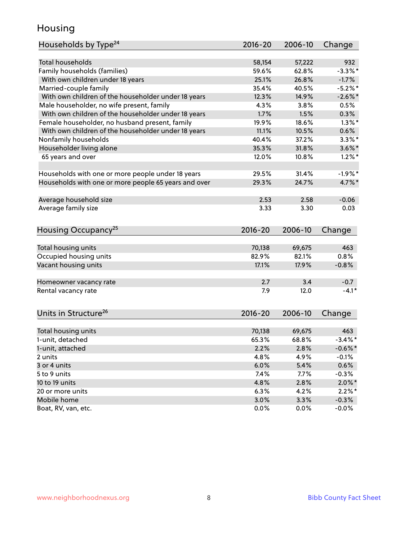# Housing

| Households by Type <sup>24</sup>                     | 2016-20     | 2006-10 | Change               |
|------------------------------------------------------|-------------|---------|----------------------|
|                                                      |             |         |                      |
| Total households                                     | 58,154      | 57,222  | 932                  |
| Family households (families)                         | 59.6%       | 62.8%   | $-3.3%$ *            |
| With own children under 18 years                     | 25.1%       | 26.8%   | $-1.7%$              |
| Married-couple family                                | 35.4%       | 40.5%   | $-5.2\%$ *           |
| With own children of the householder under 18 years  | 12.3%       | 14.9%   | $-2.6\%$ *           |
| Male householder, no wife present, family            | 4.3%        | 3.8%    | 0.5%                 |
| With own children of the householder under 18 years  | 1.7%        | 1.5%    | 0.3%                 |
| Female householder, no husband present, family       | 19.9%       | 18.6%   | $1.3\%$ *            |
| With own children of the householder under 18 years  | 11.1%       | 10.5%   | 0.6%                 |
| Nonfamily households                                 | 40.4%       | 37.2%   | $3.3\%$ *            |
| Householder living alone                             | 35.3%       | 31.8%   | $3.6\%$ *            |
| 65 years and over                                    | 12.0%       | 10.8%   | $1.2\%$ *            |
|                                                      |             |         |                      |
| Households with one or more people under 18 years    | 29.5%       | 31.4%   | $-1.9%$ *            |
| Households with one or more people 65 years and over | 29.3%       | 24.7%   | $4.7\%$ <sup>*</sup> |
|                                                      |             |         |                      |
| Average household size                               | 2.53        | 2.58    | $-0.06$              |
| Average family size                                  | 3.33        | 3.30    | 0.03                 |
|                                                      |             |         |                      |
| Housing Occupancy <sup>25</sup>                      | $2016 - 20$ | 2006-10 | Change               |
|                                                      |             |         |                      |
| Total housing units                                  | 70,138      | 69,675  | 463                  |
| Occupied housing units                               | 82.9%       | 82.1%   | 0.8%                 |
| Vacant housing units                                 | 17.1%       | 17.9%   | $-0.8%$              |
|                                                      |             |         |                      |
| Homeowner vacancy rate                               | 2.7         | 3.4     | $-0.7$               |
| Rental vacancy rate                                  | 7.9         | 12.0    | $-4.1*$              |
|                                                      |             |         |                      |
|                                                      |             |         |                      |
| Units in Structure <sup>26</sup>                     | $2016 - 20$ | 2006-10 | Change               |
| Total housing units                                  | 70,138      | 69,675  | 463                  |
| 1-unit, detached                                     | 65.3%       | 68.8%   | $-3.4\%$ *           |
|                                                      |             |         |                      |
| 1-unit, attached                                     | 2.2%        | 2.8%    | $-0.6\%$ *           |
| 2 units                                              | 4.8%        | 4.9%    | $-0.1%$              |
| 3 or 4 units                                         | 6.0%        | 5.4%    | 0.6%                 |
| 5 to 9 units                                         | 7.4%        | 7.7%    | $-0.3%$              |
| 10 to 19 units                                       | 4.8%        | 2.8%    | $2.0\% *$            |
| 20 or more units                                     | 6.3%        | 4.2%    | $2.2\%$ *            |
| Mobile home                                          | 3.0%        | 3.3%    | $-0.3%$              |
| Boat, RV, van, etc.                                  | 0.0%        | $0.0\%$ | $-0.0%$              |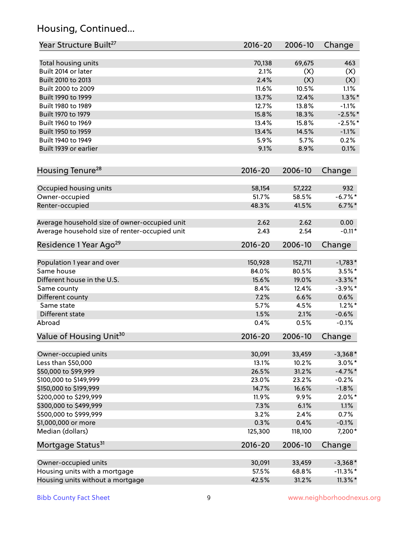# Housing, Continued...

| Year Structure Built <sup>27</sup>             | 2016-20      | 2006-10      | Change             |
|------------------------------------------------|--------------|--------------|--------------------|
| Total housing units                            | 70,138       | 69,675       | 463                |
| Built 2014 or later                            | 2.1%         | (X)          | (X)                |
| Built 2010 to 2013                             | 2.4%         | (X)          | (X)                |
| Built 2000 to 2009                             | 11.6%        | 10.5%        | 1.1%               |
| Built 1990 to 1999                             | 13.7%        | 12.4%        | $1.3\%$ *          |
| Built 1980 to 1989                             | 12.7%        | 13.8%        | $-1.1%$            |
| Built 1970 to 1979                             | 15.8%        | 18.3%        |                    |
| Built 1960 to 1969                             | 13.4%        | 15.8%        | $-2.5%$ *          |
| Built 1950 to 1959                             |              |              | $-2.5%$ *          |
| Built 1940 to 1949                             | 13.4%        | 14.5%        | $-1.1%$<br>0.2%    |
|                                                | 5.9%         | 5.7%         |                    |
| Built 1939 or earlier                          | 9.1%         | 8.9%         | 0.1%               |
| Housing Tenure <sup>28</sup>                   | $2016 - 20$  | 2006-10      | Change             |
| Occupied housing units                         | 58,154       | 57,222       | 932                |
| Owner-occupied                                 | 51.7%        | 58.5%        | $-6.7%$ *          |
| Renter-occupied                                | 48.3%        | 41.5%        | $6.7\%$ *          |
| Average household size of owner-occupied unit  | 2.62         | 2.62         | 0.00               |
| Average household size of renter-occupied unit | 2.43         | 2.54         | $-0.11*$           |
| Residence 1 Year Ago <sup>29</sup>             | 2016-20      | 2006-10      | Change             |
|                                                |              |              |                    |
| Population 1 year and over                     | 150,928      | 152,711      | $-1,783*$          |
| Same house                                     | 84.0%        | 80.5%        | $3.5\%$ *          |
| Different house in the U.S.                    | 15.6%        | 19.0%        | $-3.3\%$ *         |
| Same county                                    | 8.4%         | 12.4%        | $-3.9\%$ *         |
| Different county                               | 7.2%         | 6.6%         | 0.6%               |
| Same state                                     | 5.7%         | 4.5%         | $1.2\%$ *          |
| Different state<br>Abroad                      | 1.5%<br>0.4% | 2.1%<br>0.5% | $-0.6%$<br>$-0.1%$ |
| Value of Housing Unit <sup>30</sup>            | 2016-20      | 2006-10      | Change             |
|                                                |              |              |                    |
| Owner-occupied units                           | 30,091       | 33,459       | $-3,368*$          |
| Less than \$50,000                             | 13.1%        | 10.2%        | $3.0\%$ *          |
| \$50,000 to \$99,999                           | 26.5%        | 31.2%        | $-4.7\%$ *         |
| \$100,000 to \$149,999                         | 23.0%        | 23.2%        | $-0.2%$            |
| \$150,000 to \$199,999                         | 14.7%        | 16.6%        | $-1.8%$            |
| \$200,000 to \$299,999                         | 11.9%        | 9.9%         | $2.0\%$ *          |
| \$300,000 to \$499,999                         | 7.3%         | 6.1%         | 1.1%               |
| \$500,000 to \$999,999                         | 3.2%         | 2.4%         | 0.7%               |
| \$1,000,000 or more                            | 0.3%         | 0.4%         | $-0.1%$            |
| Median (dollars)                               | 125,300      | 118,100      | 7,200*             |
| Mortgage Status <sup>31</sup>                  | $2016 - 20$  | 2006-10      | Change             |
| Owner-occupied units                           | 30,091       | 33,459       | $-3,368*$          |
| Housing units with a mortgage                  | 57.5%        | 68.8%        | $-11.3\%$ *        |
| Housing units without a mortgage               | 42.5%        | 31.2%        | $11.3\%$ *         |
|                                                |              |              |                    |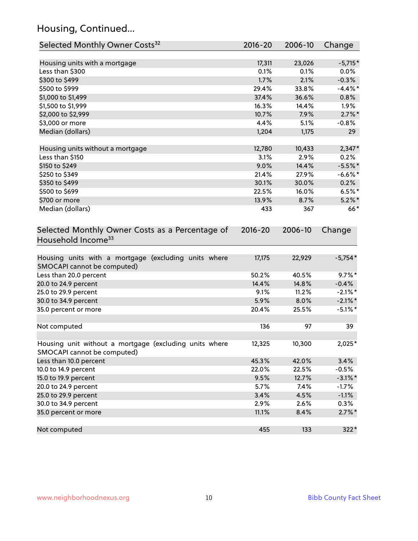# Housing, Continued...

| Selected Monthly Owner Costs <sup>32</sup>                                            | 2016-20     | 2006-10 | Change     |
|---------------------------------------------------------------------------------------|-------------|---------|------------|
| Housing units with a mortgage                                                         | 17,311      | 23,026  | $-5,715*$  |
| Less than \$300                                                                       | 0.1%        | 0.1%    | $0.0\%$    |
| \$300 to \$499                                                                        | 1.7%        | 2.1%    | $-0.3%$    |
| \$500 to \$999                                                                        | 29.4%       | 33.8%   | $-4.4\%$ * |
| \$1,000 to \$1,499                                                                    | 37.4%       | 36.6%   | 0.8%       |
| \$1,500 to \$1,999                                                                    | 16.3%       | 14.4%   | 1.9%       |
| \$2,000 to \$2,999                                                                    | 10.7%       | 7.9%    | $2.7\%$ *  |
| \$3,000 or more                                                                       | 4.4%        | 5.1%    | $-0.8%$    |
| Median (dollars)                                                                      | 1,204       | 1,175   | 29         |
| Housing units without a mortgage                                                      | 12,780      | 10,433  | $2,347*$   |
| Less than \$150                                                                       | 3.1%        | 2.9%    | 0.2%       |
| \$150 to \$249                                                                        | 9.0%        | 14.4%   | $-5.5%$ *  |
| \$250 to \$349                                                                        | 21.4%       | 27.9%   | $-6.6\%$ * |
| \$350 to \$499                                                                        | 30.1%       | 30.0%   | 0.2%       |
| \$500 to \$699                                                                        | 22.5%       | 16.0%   | $6.5%$ *   |
| \$700 or more                                                                         | 13.9%       | 8.7%    | $5.2\%$ *  |
| Median (dollars)                                                                      | 433         | 367     | $66*$      |
| Selected Monthly Owner Costs as a Percentage of<br>Household Income <sup>33</sup>     | $2016 - 20$ | 2006-10 | Change     |
| Housing units with a mortgage (excluding units where<br>SMOCAPI cannot be computed)   | 17,175      | 22,929  | $-5,754*$  |
| Less than 20.0 percent                                                                | 50.2%       | 40.5%   | $9.7\%$ *  |
| 20.0 to 24.9 percent                                                                  | 14.4%       | 14.8%   | $-0.4%$    |
| 25.0 to 29.9 percent                                                                  | 9.1%        | 11.2%   | $-2.1\%$ * |
| 30.0 to 34.9 percent                                                                  | 5.9%        | 8.0%    | $-2.1\%$ * |
| 35.0 percent or more                                                                  | 20.4%       | 25.5%   | $-5.1\%$ * |
| Not computed                                                                          | 136         | 97      | 39         |
| Housing unit without a mortgage (excluding units where<br>SMOCAPI cannot be computed) | 12,325      | 10,300  | 2,025*     |
| Less than 10.0 percent                                                                | 45.3%       | 42.0%   | 3.4%       |
| 10.0 to 14.9 percent                                                                  | 22.0%       | 22.5%   | $-0.5%$    |
| 15.0 to 19.9 percent                                                                  | 9.5%        | 12.7%   | $-3.1\%$ * |
| 20.0 to 24.9 percent                                                                  | 5.7%        | 7.4%    | $-1.7%$    |
| 25.0 to 29.9 percent                                                                  | 3.4%        | 4.5%    | $-1.1%$    |
| 30.0 to 34.9 percent                                                                  | 2.9%        | 2.6%    | 0.3%       |
| 35.0 percent or more                                                                  | 11.1%       | 8.4%    | $2.7\%$ *  |
| Not computed                                                                          | 455         | 133     | $322*$     |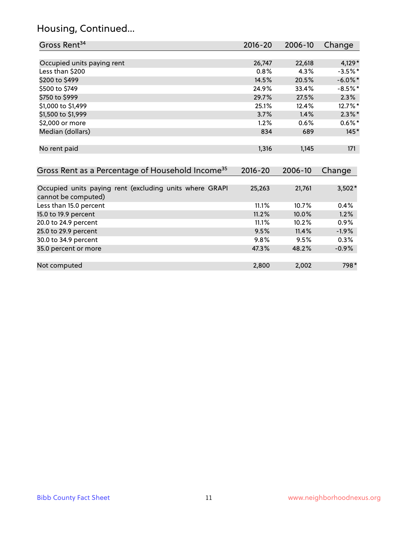# Housing, Continued...

| Gross Rent <sup>34</sup>                                                       | 2016-20     | 2006-10 | Change     |
|--------------------------------------------------------------------------------|-------------|---------|------------|
|                                                                                |             |         |            |
| Occupied units paying rent                                                     | 26,747      | 22,618  | 4,129*     |
| Less than \$200                                                                | 0.8%        | 4.3%    | $-3.5%$ *  |
| \$200 to \$499                                                                 | 14.5%       | 20.5%   | $-6.0\%$ * |
| \$500 to \$749                                                                 | 24.9%       | 33.4%   | $-8.5%$ *  |
| \$750 to \$999                                                                 | 29.7%       | 27.5%   | 2.3%       |
| \$1,000 to \$1,499                                                             | 25.1%       | 12.4%   | 12.7%*     |
| \$1,500 to \$1,999                                                             | 3.7%        | 1.4%    | $2.3\%$ *  |
| \$2,000 or more                                                                | 1.2%        | 0.6%    | $0.6\%*$   |
| Median (dollars)                                                               | 834         | 689     | $145*$     |
|                                                                                |             |         |            |
| No rent paid                                                                   | 1,316       | 1,145   | 171        |
|                                                                                |             |         |            |
|                                                                                |             |         |            |
| Gross Rent as a Percentage of Household Income <sup>35</sup>                   | $2016 - 20$ | 2006-10 | Change     |
|                                                                                |             |         |            |
| Occupied units paying rent (excluding units where GRAPI<br>cannot be computed) | 25,263      | 21,761  | $3,502*$   |
| Less than 15.0 percent                                                         | 11.1%       | 10.7%   | 0.4%       |
| 15.0 to 19.9 percent                                                           | 11.2%       | 10.0%   | 1.2%       |
| 20.0 to 24.9 percent                                                           | 11.1%       | 10.2%   | 0.9%       |
| 25.0 to 29.9 percent                                                           | 9.5%        | 11.4%   | $-1.9%$    |
| 30.0 to 34.9 percent                                                           | 9.8%        | 9.5%    | 0.3%       |
| 35.0 percent or more                                                           | 47.3%       | 48.2%   | $-0.9%$    |
|                                                                                |             |         |            |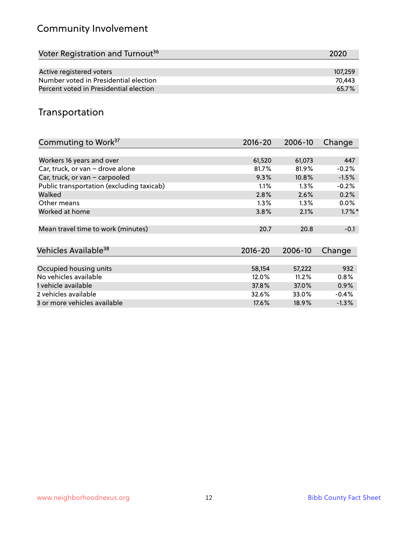# Community Involvement

| Voter Registration and Turnout <sup>36</sup> | 2020    |
|----------------------------------------------|---------|
|                                              |         |
| Active registered voters                     | 107.259 |
| Number voted in Presidential election        | 70.443  |
| Percent voted in Presidential election       | 65.7%   |

# Transportation

| Commuting to Work <sup>37</sup>           | 2016-20     | 2006-10 | Change    |
|-------------------------------------------|-------------|---------|-----------|
|                                           |             |         |           |
| Workers 16 years and over                 | 61,520      | 61,073  | 447       |
| Car, truck, or van - drove alone          | 81.7%       | 81.9%   | $-0.2%$   |
| Car, truck, or van - carpooled            | 9.3%        | 10.8%   | $-1.5%$   |
| Public transportation (excluding taxicab) | 1.1%        | $1.3\%$ | $-0.2%$   |
| Walked                                    | 2.8%        | 2.6%    | 0.2%      |
| Other means                               | $1.3\%$     | $1.3\%$ | $0.0\%$   |
| Worked at home                            | 3.8%        | 2.1%    | $1.7\%$ * |
|                                           |             |         |           |
| Mean travel time to work (minutes)        | 20.7        | 20.8    | $-0.1$    |
|                                           |             |         |           |
| Vehicles Available <sup>38</sup>          | $2016 - 20$ | 2006-10 | Change    |
|                                           |             |         |           |
| Occupied housing units                    | 58,154      | 57,222  | 932       |
| No vehicles available                     | 12.0%       | 11.2%   | $0.8\%$   |
| 1 vehicle available                       | 37.8%       | 37.0%   | $0.9\%$   |
| 2 vehicles available                      | 32.6%       | 33.0%   | $-0.4%$   |
| 3 or more vehicles available              | 17.6%       | 18.9%   | $-1.3\%$  |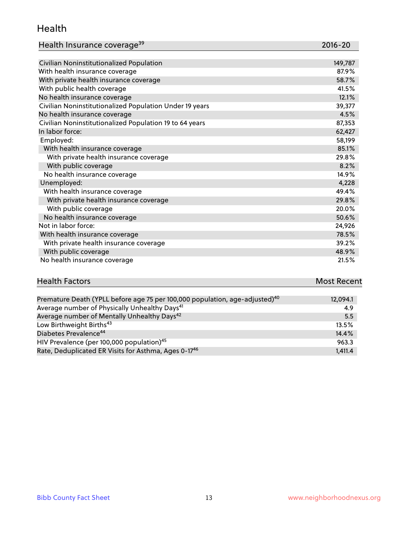#### Health

| Health Insurance coverage <sup>39</sup> | 2016-20 |
|-----------------------------------------|---------|
|-----------------------------------------|---------|

| Civilian Noninstitutionalized Population                | 149,787 |
|---------------------------------------------------------|---------|
| With health insurance coverage                          | 87.9%   |
| With private health insurance coverage                  | 58.7%   |
| With public health coverage                             | 41.5%   |
| No health insurance coverage                            | 12.1%   |
| Civilian Noninstitutionalized Population Under 19 years | 39,377  |
| No health insurance coverage                            | 4.5%    |
| Civilian Noninstitutionalized Population 19 to 64 years | 87,353  |
| In labor force:                                         | 62,427  |
| Employed:                                               | 58,199  |
| With health insurance coverage                          | 85.1%   |
| With private health insurance coverage                  | 29.8%   |
| With public coverage                                    | 8.2%    |
| No health insurance coverage                            | 14.9%   |
| Unemployed:                                             | 4,228   |
| With health insurance coverage                          | 49.4%   |
| With private health insurance coverage                  | 29.8%   |
| With public coverage                                    | 20.0%   |
| No health insurance coverage                            | 50.6%   |
| Not in labor force:                                     | 24,926  |
| With health insurance coverage                          | 78.5%   |
| With private health insurance coverage                  | 39.2%   |
| With public coverage                                    | 48.9%   |
| No health insurance coverage                            | 21.5%   |

# **Health Factors Most Recent** And The Control of the Control of The Control of The Control of The Control of The Control of The Control of The Control of The Control of The Control of The Control of The Control of The Contr

| Premature Death (YPLL before age 75 per 100,000 population, age-adjusted) <sup>40</sup> | 12,094.1 |
|-----------------------------------------------------------------------------------------|----------|
| Average number of Physically Unhealthy Days <sup>41</sup>                               | 4.9      |
| Average number of Mentally Unhealthy Days <sup>42</sup>                                 | 5.5      |
| Low Birthweight Births <sup>43</sup>                                                    | 13.5%    |
| Diabetes Prevalence <sup>44</sup>                                                       | 14.4%    |
| HIV Prevalence (per 100,000 population) <sup>45</sup>                                   | 963.3    |
| Rate, Deduplicated ER Visits for Asthma, Ages 0-17 <sup>46</sup>                        | 1,411.4  |